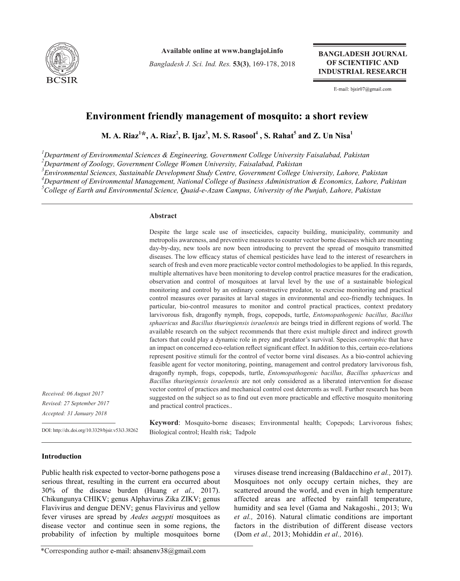

**Available online at www.banglajol.info**

*Bangladesh J. Sci. Ind. Res.* **53(3)**, 169-178, 2018

**BANGLADESH JOURNAL** OF SCIENTIFIC AND **INDUSTRIAL RESEARCH** 

E-mail: bjsir07@gmail.com

# **Environment friendly management of mosquito: a short review**

 $\mathbf{M}.$  A. Riaz<sup>1 $*$ </sup>, A. Riaz<sup>2</sup>, B. Ijaz $^3$ , M. S. Rasool $^4$  , S. Rahat $^5$  and Z. Un Nisa $^1$ 

*1 Department of Environmental Sciences & Engineering, Government College University Faisalabad, Pakistan*

*2 Department of Zoology, Government College Women University, Faisalabad, Pakistan*

*3 Environmental Sciences, Sustainable Development Study Centre, Government College University, Lahore, Pakistan*

*4 Department of Environmental Management, National College of Business Administration & Economics, Lahore, Pakistan*

*5 College of Earth and Environmental Science, Quaid-e-Azam Campus, University of the Punjab, Lahore, Pakistan*

### **Abstract**

Despite the large scale use of insecticides, capacity building, municipality, community and metropolis awareness, and preventive measures to counter vector borne diseases which are mounting day-by-day, new tools are now been introducing to prevent the spread of mosquito transmitted diseases. The low efficacy status of chemical pesticides have lead to the interest of researchers in search of fresh and even more practicable vector control methodologies to be applied. In this regards, multiple alternatives have been monitoring to develop control practice measures for the eradication, observation and control of mosquitoes at larval level by the use of a sustainable biological monitoring and control by an ordinary constructive predator, to exercise monitoring and practical control measures over parasites at larval stages in environmental and eco-friendly techniques. In particular, bio-control measures to monitor and control practical practices, context predatory larvivorous fish, dragonfly nymph, frogs, copepods, turtle, *Entomopathogenic bacillus, Bacillus sphaericus* and *Bacillus thuringiensis israelensis* are beings tried in different regions of world. The available research on the subject recommends that there exist multiple direct and indirect growth factors that could play a dynamic role in prey and predator's survival. Species *controphic* that have an impact on concerned eco-relation reflect significant effect. In addition to this, certain eco-relations represent positive stimuli for the control of vector borne viral diseases. As a bio-control achieving feasible agent for vector monitoring, pointing, management and control predatory larvivorous fish, dragonfly nymph, frogs, copepods, turtle, *Entomopathogenic bacillus, Bacillus sphaericus* and *Bacillus thuringiensis israelensis* are not only considered as a liberated intervention for disease vector control of practices and mechanical control cost deterrents as well. Further research has been suggested on the subject so as to find out even more practicable and effective mosquito monitoring and practical control practices..

*Received: 06 August 2017 Revised: 27 September 2017 Accepted: 31 January 2018*

DOI: http://dx.doi.org/10.3329/bjsir.v53i3.38262

**Keyword**: Mosquito-borne diseases; Environmental health; Copepods; Larvivorous fishes; Biological control; Health risk; Tadpole

# **Introduction**

Public health risk expected to vector-borne pathogens pose a serious threat, resulting in the current era occurred about 30% of the disease burden (Huang *et al.,* 2017). Chikungunya CHIKV; genus Alphavirus Zika ZIKV; genus Flavivirus and dengue DENV; genus Flavivirus and yellow fever viruses are spread by *Aedes aegypti* mosquitoes as disease vector and continue seen in some regions, the probability of infection by multiple mosquitoes borne

viruses disease trend increasing (Baldacchino *et al.,* 2017). Mosquitoes not only occupy certain niches, they are scattered around the world, and even in high temperature affected areas are affected by rainfall temperature, humidity and sea level (Gama and Nakagoshi., 2013; Wu *et al.,* 2016). Natural climatic conditions are important factors in the distribution of different disease vectors (Dom *et al.,* 2013; Mohiddin *et al.,* 2016).

\*Corresponding author e-mail: ahsanenv38@gmail.com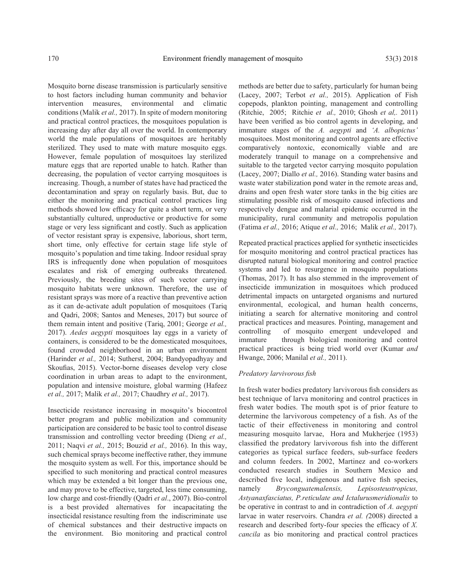Mosquito borne disease transmission is particularly sensitive to host factors including human community and behavior intervention measures, environmental and climatic conditions (Malik *et al.,* 2017). In spite of modern monitoring and practical control practices, the mosquitoes population is increasing day after day all over the world. In contemporary world the male populations of mosquitoes are heritably sterilized. They used to mate with mature mosquito eggs. However, female population of mosquitoes lay sterilized mature eggs that are reported unable to hatch. Rather than decreasing, the population of vector carrying mosquitoes is increasing. Though, a number of states have had practiced the decontamination and spray on regularly basis. But, due to either the monitoring and practical control practices ling methods showed low efficacy for quite a short term, or very substantially cultured, unproductive or productive for some stage or very less significant and costly. Such as application of vector resistant spray is expensive, laborious, short term, short time, only effective for certain stage life style of mosquito's population and time taking. Indoor residual spray IRS is infrequently done when population of mosquitoes escalates and risk of emerging outbreaks threatened. Previously, the breeding sites of such vector carrying mosquito habitats were unknown. Therefore, the use of resistant sprays was more of a reactive than preventive action as it can de-activate adult population of mosquitoes (Tariq and Qadri, 2008; Santos and Meneses, 2017) but source of them remain intent and positive (Tariq, 2001; George *et al.,*  2017). *Aedes aegypti* mosquitoes lay eggs in a variety of containers, is considered to be the domesticated mosquitoes, found crowded neighborhood in an urban environment (Harinder *et al.,* 2014; Sutherst, 2004; Bandyopadhyay and Skoufias, 2015). Vector-borne diseases develop very close coordination in urban areas to adapt to the environment, population and intensive moisture, global warming (Hafeez *et al.,* 2017; Malik *et al.,* 2017; Chaudhry *et al.,* 2017).

Insecticide resistance increasing in mosquito's biocontrol better program and public mobilization and community participation are considered to be basic tool to control disease transmission and controlling vector breeding (Dieng *et al.,*  2011; Naqvi *et al.,* 2015; Bouzid *et al.,* 2016). In this way, such chemical sprays become ineffective rather, they immune the mosquito system as well. For this, importance should be specified to such monitoring and practical control measures which may be extended a bit longer than the previous one, and may prove to be effective, targeted, less time consuming, low charge and cost-friendly (Qadri *et al*., 2007). Bio-control is a best provided alternatives for incapacitating the insecticidal resistance resulting from the indiscriminate use of chemical substances and their destructive impacts on the environment. Bio monitoring and practical control methods are better due to safety, particularly for human being (Lacey, 2007; Terbot *et al.,* 2015). Application of Fish copepods, plankton pointing, management and controlling (Ritchie, 2005; Ritchie *et al.,* 2010; Ghosh *et al,.* 2011) have been verified as bio control agents in developing, and immature stages of the *A. aegypti* and *'A. albopictus'* mosquitoes. Most monitoring and control agents are effective comparatively nontoxic, economically viable and are moderately tranquil to manage on a comprehensive and suitable to the targeted vector carrying mosquito population (Lacey, 2007; Diallo *et al.,* 2016). Standing water basins and waste water stabilization pond water in the remote areas and, drains and open fresh water store tanks in the big cities are stimulating possible risk of mosquito caused infections and respectively dengue and malarial epidemic occurred in the municipality, rural community and metropolis population (Fatima *et al.,* 2016; Atique *et al.,* 2016; Malik *et al.,* 2017).

Repeated practical practices applied for synthetic insecticides for mosquito monitoring and control practical practices has disrupted natural biological monitoring and control practice systems and led to resurgence in mosquito populations (Thomas, 2017). It has also stemmed in the improvement of insecticide immunization in mosquitoes which produced detrimental impacts on untargeted organisms and nurtured environmental, ecological, and human health concerns, initiating a search for alternative monitoring and control practical practices and measures. Pointing, management and controlling of mosquito emergent undeveloped and immature through biological monitoring and control practical practices is being tried world over (Kumar *and*  Hwange, 2006; Manilal *et al.,* 2011).

#### *Predatory larvivorous fish*

In fresh water bodies predatory larvivorous fish considers as best technique of larva monitoring and control practices in fresh water bodies. The mouth spot is of prior feature to determine the larvivorous competency of a fish. As of the tactic of their effectiveness in monitoring and control measuring mosquito larvae, Hora and Mukherjee (1953) classified the predatory larvivorous fish into the different categories as typical surface feeders, sub-surface feeders and column feeders. In 2002, Martinez and co-workers conducted research studies in Southern Mexico and described five local, indigenous and native fish species, namely *Bryconguatemalensis, Lepisosteustropicus, Astyanaxfasciatus, P.reticulate and Ictalurusmeridionalis* to be operative in contrast to and in contradiction of *A. aegypti* larvae in water reservoirs. Chandra *et al. (*2008) directed a research and described forty-four species the efficacy of *X. cancila* as bio monitoring and practical control practices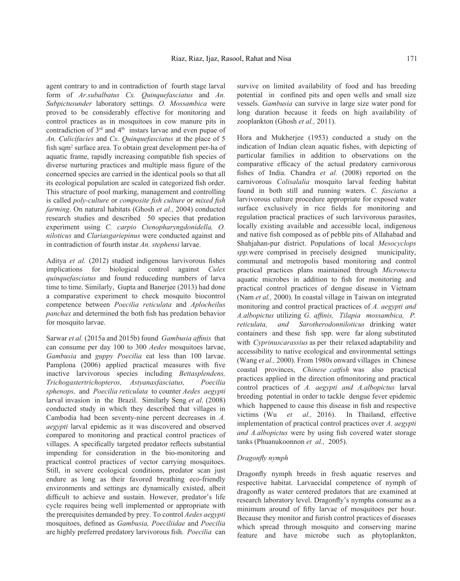agent contrary to and in contradiction of fourth stage larval form of *Ar.subalbatus Cx. Quinquefasciatus* and *An. Subpictusunder* laboratory settings. *O. Mossambica* were proved to be considerably effective for monitoring and control practices as in mosquitoes in cow manure pits in contradiction of  $3<sup>rd</sup>$  and  $4<sup>th</sup>$  instars larvae and even pupae of *An. Culicifacies* and *Cx. Quinquefasciatus* at the place of 5 fish sqm<sup>2</sup> surface area. To obtain great development per-ha of aquatic frame, rapidly increasing compatible fish species of diverse nurturing practices and multiple mass figure of the concerned species are carried in the identical pools so that all its ecological population are scaled in categorized fish order. This structure of pool marking, management and controlling is called *poly-culture* or *composite fish culture* or *mixed fish farming*. On natural habitats (Ghosh *et al.,* 2004) conducted research studies and described 50 species that predation experiment using *C. carpio Ctenopharyngdonidella, O. niloticus* and *Clariasgariepinus* were conducted against and in contradiction of fourth instar *An. stephensi* larvae.

Aditya *et al.* (2012) studied indigenous larvivorous fishes implications for biological control against *Culex quinquefasciatus* and found reduceding numbers of larva time to time. Similarly, Gupta and Banerjee (2013) had done a comparative experiment to check mosquito biocontrol competence between *Poecilia reticulata* and *Aplocheilus panchax* and determined the both fish has predation behavior for mosquito larvae.

Sarwar *et al.* (2015a and 2015b) found *Gambusia affinis* that can consume per day 100 to 300 *Aedes* mosquitoes larvae, *Gambusia* and *guppy Poecilia* eat less than 100 larvae. Pamplona (2006) applied practical measures with five inactive larvivorous species including *Bettasplendens, Trichogastertrichopteros, Astyanaxfasciatus, Poecilia sphenops,* and *Poecilia reticulata* to counter *Aedes aegypti* larval invasion in the Brazil. Similarly Seng *et al.* (2008) conducted study in which they described that villages in Cambodia had been seventy-nine percent decreases in *A. aegypti* larval epidemic as it was discovered and observed compared to monitoring and practical control practices of villages. A specifically targeted predator reflects substantial impending for consideration in the bio-monitoring and practical control practices of vector carrying mosquitoes. Still, in severe ecological conditions, predator scan just endure as long as their favored breathing eco-friendly environments and settings are dynamically existed, albeit difficult to achieve and sustain. However, predator's life cycle requires being well implemented or appropriate with the prerequisites demanded by prey. To control *Aedes aegypti* mosquitoes, defined as *Gambusia, Poeciliidae* and *Poecilia* are highly preferred predatory larvivorous fish. *Poecilia* can

survive on limited availability of food and has breeding potential in confined pits and open wells and small size vessels. *Gambusia* can survive in large size water pond for long duration because it feeds on high availability of zooplankton (Ghosh *et al.,* 2011).

Hora and Mukherjee (1953) conducted a study on the indication of Indian clean aquatic fishes, with depicting of particular families in addition to observations on the comparative efficacy of the actual predatory carnivorous fishes of India. Chandra *et al.* (2008) reported on the carnivorous *Colisalalia* mosquito larval feeding habitat found in both still and running waters. *C. fasciatus* a larvivorous culture procedure appropriate for exposed water surface exclusively in rice fields for monitoring and regulation practical practices of such larvivorous parasites, locally existing available and accessible local, indigenous and native fish composed as of pebble pits of Allahabad and Shahjahan-pur district. Populations of local *Mesocyclops spp.*were comprised in precisely designed municipality, communal and metropolis based monitoring and control practical practices plans maintained through *Micronecta* aquatic microbes in addition to fish for monitoring and practical control practices of dengue disease in Vietnam (Nam *et al.,* 2000). In coastal village in Taiwan on integrated monitoring and control practical practices of *A. aegypti and A.albopictus* utilizing *G. affinis, Tilapia mossambica, P. reticulata, and Sarotherodonniloticus* drinking water containers and these fish spp. were far along substituted with *Cyprinuscarassius* as per their relaxed adaptability and accessibility to native ecological and environmental settings (Wang *et al.,* 2000). From 1980s onward villages in Chinese coastal provinces, *Chinese catfish* was also practical practices applied in the direction ofmonitoring and practical control practices of *A. aegypti and A.albopictus* larval breeding potential in order to tackle dengue fever epidemic which happened to cause this disease in fish and respective victims (Wu *et al.,* 2016). In Thailand, effective implementation of practical control practices over *A. aegypti and A.albopictus* were by using fish covered water storage tanks (Phuanukoonnon *et al.,* 2005).

# *Dragonfly nymph*

Dragonfly nymph breeds in fresh aquatic reserves and respective habitat. Larvaecidal competence of nymph of dragonfly as water centered predators that are examined at research laboratory level. Dragonfly's nymphs consume as a minimum around of fifty larvae of mosquitoes per hour. Because they monitor and furish control practices of diseases which spread through mosquito and conserving marine feature and have microbe such as phytoplankton,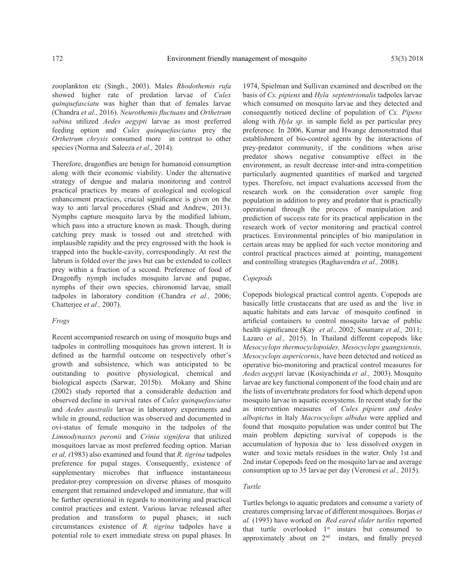zooplankton etc (Singh., 2003). Males *Rhodothemis rufa* showed higher rate of predation larvae of *Culex quinquefasciatu* was higher than that of females larvae (Chandra *et al.,* 2016). *Neurothemis fluctuans* and *Orthetrum sabina* utilized *Aedes aegypti* larvae as most preferred feeding option and *Culex quinquefasciatus* prey the *Orthetrum chrysis* consumed more in contrast to other species (Norma and Saleeza *et al.,* 2014).

Therefore, dragonflies are benign for humanoid consumption along with their economic viability. Under the alternative strategy of dengue and malaria monitoring and control practical practices by means of ecological and ecological enhancement practices, crucial significance is given on the way to anti larval procedures (Shad and Andrew, 2013). Nymphs capture mosquito larva by the modified labium, which pass into a structure known as mask. Though, during catching prey mask is tossed out and stretched with implausible rapidity and the prey engrossed with the hook is trapped into the buckle-cavity, correspondingly. At rest the labrum is folded over the jaws but can be extended to collect prey within a fraction of a second. Preference of food of Dragonfly nymph includes mosquito larvae and pupae, nymphs of their own species, chironomid larvae, small tadpoles in laboratory condition (Chandra *et al.,* 2006; Chatterjee *et al.,* 2007).

#### *Frogs*

Recent accompanied research on using of mosquito bugs and tadpoles in controlling mosquitoes has grown interest. It is defined as the harmful outcome on respectively other's growth and subsistence, which was anticipated to be outstanding to positive physiological, chemical and biological aspects (Sarwar, 2015b). Mokany and Shine (2002) study reported that a considerable deduction and observed decline in survival rates of *Culex quinquefasciatus* and *Aedes australis* larvae in laboratory experiments and while in ground, reduction was observed and documented in ovi-status of female mosquito in the tadpoles of the *Limnodynastes peronii* and *Crinia signifera* that utilized mosquitoes larvae as most preferred feeding option. Marian *et al, (*1983) also examined and found that *R. tigrina* tadpoles preference for pupal stages. Consequently, existence of supplementary microbes that influence instantaneous predator-prey compression on diverse phases of mosquito emergent that remained undeveloped and immature, that will be further operational in regards to monitoring and practical control practices and extent. Various larvae released after predation and transform to pupal phases; in such circumstances existence of *R. tigrina* tadpoles have a potential role to exert immediate stress on pupal phases. In

1974, Spielman and Sullivan examined and described on the basis of *Cx. pipiens* and *Hyla septentrionalis* tadpoles larvae which consumed on mosquito larvae and they detected and consequently noticed decline of population of *Cx. Pipens*  along with *Hyla sp.* in sample field as per particular prey preference. In 2006, Kumar and Hwange demonstrated that establishment of bio-control agents by the interactions of prey-predator community, if the conditions when arise predator shows negative consumptive effect in the environment, as result decrease inter-and intra-competition particularly augmented quantities of marked and targeted types. Therefore, net impact evaluations accessed from the research work on the consideration over sample frog population in addition to prey and predator that is practically operational through the process of manipulation and prediction of success rate for its practical application in the research work of vector monitoring and practical control practices. Environmental principles of bio manipulation in certain areas may be applied for such vector monitoring and control practical practices aimed at pointing, management and controlling strategies (Raghavendra *et al.,* 2008).

### *Copepods*

Copepods biological practical control agents. Copepods are basically little crustaceans that are used as and the live in aquatic habitats and eats larvae of mosquito confined in artificial containers to control mosquito larvae of public health significance (Kay *et al.,* 2002; Soumare *et al.,* 2011; Lazaro *et al.,* 2015). In Thailand different copepods like *Mesocyclops thermocyclopoides, Mesocyclops guangxiensis, Mesocyclops aspericornis*, have been detected and noticed as operative bio-monitoring and practical control measures for *Aedes aegypti* larvae (Kosiyachinda *et al.,* 2003). Mosquito larvae are key functional component of the food chain and are the lists of invertebrate predators for food which depend upon mosquito larvae in aquatic ecosystems. In recent study for the as intervention measures of *Culex pipiens and Aedes albopictus* in Italy *Macrocyclops albidus* were applied and found that mosquito population was under control but The main problem depicting survival of copepods is the accumulation of hypoxia due to less dissolved oxygen in water and toxic metals residues in the water. Only 1st and 2nd instar Copepods feed on the mosquito larvae and average consumption up to 35 larvae per day (Veronesi *et al.,* 2015).

# *Turtle*

Turtles belongs to aquatic predators and consume a variety of creatures comprising larvae of different mosquitoes. Borjas *et al.* (1993) have worked on *Red eared slider turtles* reported that turtle overlooked  $1<sup>st</sup>$  instars but consumed to approximately about on 2nd instars, and finally preyed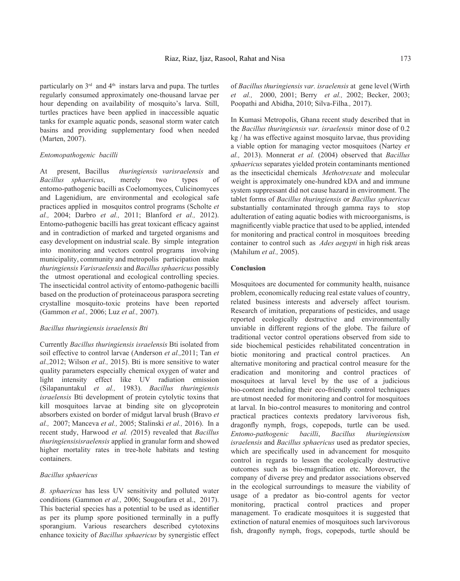particularly on  $3<sup>rd</sup>$  and  $4<sup>th</sup>$  instars larva and pupa. The turtles regularly consumed approximately one-thousand larvae per hour depending on availability of mosquito's larva. Still, turtles practices have been applied in inaccessible aquatic tanks for example aquatic ponds, seasonal storm water catch basins and providing supplementary food when needed (Marten, 2007).

### *Entomopathogenic bacilli*

At present, Bacillus *thuringiensis varisraelensis* and *Bacillus sphaericus*, merely two types of entomo-pathogenic bacilli as Coelomomyces, Culicinomyces and Lagenidium, are environmental and ecological safe practices applied in mosquitos control programs (Scholte *et al.,* 2004; Darbro *et al.,* 2011; Blanford *et al.,* 2012). Entomo-pathogenic bacilli has great toxicant efficacy against and in contradiction of marked and targeted organisms and easy development on industrial scale. By simple integration into monitoring and vectors control programs involving municipality, community and metropolis participation make *thuringiensis Varisraelensis* and *Bacillus sphaericus* possibly the utmost operational and ecological controlling species. The insecticidal control activity of entomo-pathogenic bacilli based on the production of proteinaceous paraspora secreting crystalline mosquito-toxic proteins have been reported (Gammon *et al.,* 2006; Luz *et al.,* 2007).

### *Bacillus thuringiensis israelensis Bti*

Currently *Bacillus thuringiensis israelensis* Bti isolated from soil effective to control larvae (Anderson *et al.,*2011; Tan *et al.,*2012; Wilson *et al.,* 2015). Bti is more sensitive to water quality parameters especially chemical oxygen of water and light intensity effect like UV radiation emission (Silapanuntakul *et al.,* 1983). *Bacillus thuringiensis israelensis* Bti development of protein cytolytic toxins that kill mosquitoes larvae at binding site on glycoprotein absorbers existed on border of midgut larval brush (Bravo *et al.,* 2007; Manceva *et al.,* 2005; Stalinski *et al.,* 2016). In a recent study, Harwood *et al. (*2015) revealed that *Bacillus thuringiensisisraelensis* applied in granular form and showed higher mortality rates in tree-hole habitats and testing containers.

### *Bacillus sphaericus*

*B. sphaericus* has less UV sensitivity and polluted water conditions (Gammon *et al.,* 2006; Sougoufara et al., 2017). This bacterial species has a potential to be used as identifier as per its plump spore positioned terminally in a puffy sporangium. Various researchers described cytotoxins enhance toxicity of *Bacillus sphaericus* by synergistic effect

of *Bacillus thuringiensis var. israelensis* at gene level (Wirth *et al.,* 2000, 2001; Berry *et al.,* 2002; Becker, 2003; Poopathi and Abidha, 2010; Silva-Filha*.,* 2017).

In Kumasi Metropolis, Ghana recent study described that in the *Bacillus thuringiensis var. israelensis* minor dose of 0.2 kg / ha was effective against mosquito larvae, thus providing a viable option for managing vector mosquitoes (Nartey *et al.,* 2013). Monnerat *et al.* (2004) observed that *Bacillus sphaericus* separates yielded protein contaminants mentioned as the insecticidal chemicals *Methotrexate* and molecular weight is approximately one-hundred kDA and and immune system suppressant did not cause hazard in environment. The tablet forms of *Bacillus thuringiensis* or *Bacillus sphaericus* substantially contaminated through gamma rays to stop adulteration of eating aquatic bodies with microorganisms, is magnificently viable practice that used to be applied, intended for monitoring and practical control in mosquitoes breeding container to control such as *Ades aegypti* in high risk areas (Mahilum *et al.,* 2005).

### **Conclusion**

Mosquitoes are documented for community health, nuisance problem, economically reducing real estate values of country, related business interests and adversely affect tourism. Research of imitation, preparations of pesticides, and usage reported ecologically destructive and environmentally unviable in different regions of the globe. The failure of traditional vector control operations observed from side to side biochemical pesticides rehabilitated concentration in biotic monitoring and practical control practices. An alternative monitoring and practical control measure for the eradication and monitoring and control practices of mosquitoes at larval level by the use of a judicious bio-content including their eco-friendly control techniques are utmost needed for monitoring and control for mosquitoes at larval. In bio-control measures to monitoring and control practical practices contexts predatory larvivorous fish, dragonfly nymph, frogs, copepods, turtle can be used. *Entomo-pathogenic bacilli*, *Bacillus thuringiensism israelensis* and *Bacillus sphaericus* used as predator species, which are specifically used in advancement for mosquito control in regards to lessen the ecologically destructive outcomes such as bio-magnification etc. Moreover, the company of diverse prey and predator associations observed in the ecological surroundings to measure the viability of usage of a predator as bio-control agents for vector monitoring, practical control practices and proper management. To eradicate mosquitoes it is suggested that extinction of natural enemies of mosquitoes such larvivorous fish, dragonfly nymph, frogs, copepods, turtle should be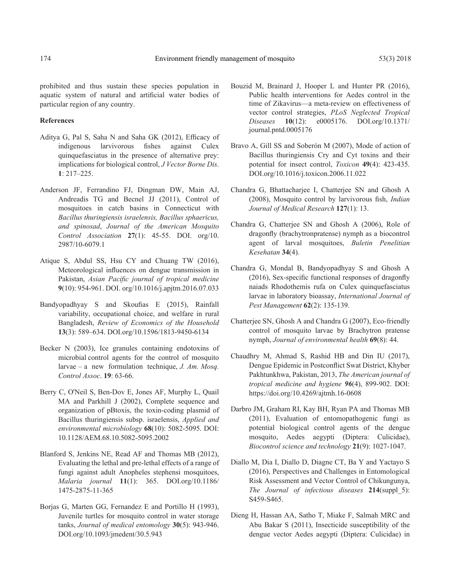prohibited and thus sustain these species population in aquatic system of natural and artificial water bodies of particular region of any country.

# **References**

- Aditya G, Pal S, Saha N and Saha GK (2012), Efficacy of indigenous larvivorous fishes against Culex quinquefasciatus in the presence of alternative prey: implications for biological control, *J Vector Borne Dis*. **1**: 217–225.
- Anderson JF, Ferrandino FJ, Dingman DW, Main AJ, Andreadis TG and Becnel JJ (2011), Control of mosquitoes in catch basins in Connecticut with *Bacillus thuringiensis israelensis, Bacillus sphaericus, and spinosad*, *Journal of the American Mosquito Control Association* **27**(1): 45-55. DOI. org/10. 2987/10-6079.1
- Atique S, Abdul SS, Hsu CY and Chuang TW (2016), Meteorological influences on dengue transmission in Pakistan, *Asian Pacific journal of tropical medicine* **9**(10): 954-961. DOI. org/10.1016/j.apjtm.2016.07.033
- Bandyopadhyay S and Skoufias E (2015), Rainfall variability, occupational choice, and welfare in rural Bangladesh, *Review of Economics of the Household* **13**(3): 589–634. DOI.org/10.1596/1813-9450-6134
- Becker N (2003), Ice granules containing endotoxins of microbial control agents for the control of mosquito larvae – a new formulation technique, *J. Am. Mosq. Control Assoc*. **19**: 63-66.
- Berry C, O'Neil S, Ben-Dov E, Jones AF, Murphy L, Quail MA and Parkhill J (2002), Complete sequence and organization of pBtoxis, the toxin-coding plasmid of Bacillus thuringiensis subsp. israelensis, *Applied and environmental microbiology* **68**(10): 5082-5095. DOI: 10.1128/AEM.68.10.5082-5095.2002
- Blanford S, Jenkins NE, Read AF and Thomas MB (2012), Evaluating the lethal and pre-lethal effects of a range of fungi against adult Anopheles stephensi mosquitoes, *Malaria journal* **11**(1): 365. DOI.org/10.1186/ 1475-2875-11-365
- Borjas G, Marten GG, Fernandez E and Portillo H (1993), Juvenile turtles for mosquito control in water storage tanks, *Journal of medical entomology* **30**(5): 943-946. DOI.org/10.1093/jmedent/30.5.943
- Bouzid M, Brainard J, Hooper L and Hunter PR (2016), Public health interventions for Aedes control in the time of Zikavirus—a meta-review on effectiveness of vector control strategies, *PLoS Neglected Tropical Diseases* **10**(12): e0005176. DOI.org/10.1371/ journal.pntd.0005176
- Bravo A, Gill SS and Soberón M (2007), Mode of action of Bacillus thuringiensis Cry and Cyt toxins and their potential for insect control, *Toxicon* **49**(4): 423-435. DOI.org/10.1016/j.toxicon.2006.11.022
- Chandra G, Bhattacharjee I, Chatterjee SN and Ghosh A (2008), Mosquito control by larvivorous fish, *Indian Journal of Medical Research* **127**(1): 13.
- Chandra G, Chatterjee SN and Ghosh A (2006), Role of dragonfly (brachytronpratense) nymph as a biocontrol agent of larval mosquitoes, *Buletin Penelitian Kesehatan* **34**(4).
- Chandra G, Mondal B, Bandyopadhyay S and Ghosh A (2016), Sex-specific functional responses of dragonfly naiads Rhodothemis rufa on Culex quinquefasciatus larvae in laboratory bioassay, *International Journal of Pest Management* **62**(2): 135-139.
- Chatterjee SN, Ghosh A and Chandra G (2007), Eco-friendly control of mosquito larvae by Brachytron pratense nymph, *Journal of environmental health* **69**(8): 44.
- Chaudhry M, Ahmad S, Rashid HB and Din IU (2017), Dengue Epidemic in Postconflict Swat District, Khyber Pakhtunkhwa, Pakistan, 2013, *The American journal of tropical medicine and hygiene 96*(4), 899-902. DOI: https://doi.org/10.4269/ajtmh.16-0608
- Darbro JM, Graham RI, Kay BH, Ryan PA and Thomas MB (2011), Evaluation of entomopathogenic fungi as potential biological control agents of the dengue mosquito, Aedes aegypti (Diptera: Culicidae), *Biocontrol science and technology* **21**(9): 1027-1047.
- Diallo M, Dia I, Diallo D, Diagne CT, Ba Y and Yactayo S (2016), Perspectives and Challenges in Entomological Risk Assessment and Vector Control of Chikungunya, *The Journal of infectious diseases* **214**(suppl\_5): S459-S465.
- Dieng H, Hassan AA, Satho T, Miake F, Salmah MRC and Abu Bakar S (2011), Insecticide susceptibility of the dengue vector Aedes aegypti (Diptera: Culicidae) in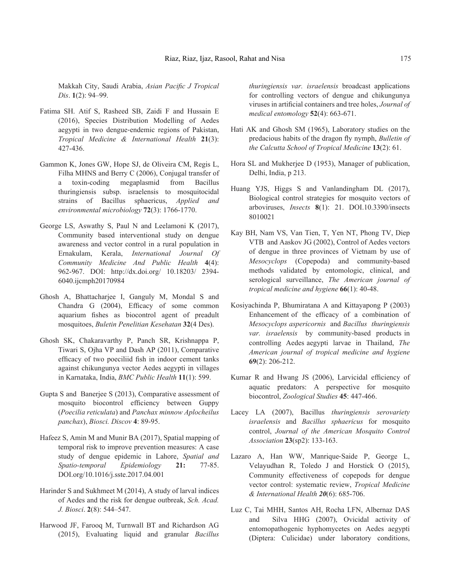Makkah City, Saudi Arabia, *Asian Pacific J Tropical Dis*. **1**(2): 94–99.

- Fatima SH. Atif S, Rasheed SB, Zaidi F and Hussain E (2016), Species Distribution Modelling of Aedes aegypti in two dengue-endemic regions of Pakistan, *Tropical Medicine & International Health* **21**(3): 427-436.
- Gammon K, Jones GW, Hope SJ, de Oliveira CM, Regis L, Filha MHNS and Berry C (2006), Conjugal transfer of a toxin-coding megaplasmid from Bacillus thuringiensis subsp. israelensis to mosquitocidal strains of Bacillus sphaericus, *Applied and environmental microbiology* **72**(3): 1766-1770.
- George LS, Aswathy S, Paul N and Leelamoni K (2017), Community based interventional study on dengue awareness and vector control in a rural population in Ernakulam, Kerala, *International Journal Of Community Medicine And Public Health* **4**(4): 962-967. DOI: http://dx.doi.org/ 10.18203/ 2394- 6040.ijcmph20170984
- Ghosh A, Bhattacharjee I, Ganguly M, Mondal S and Chandra G (2004), Efficacy of some common aquarium fishes as biocontrol agent of preadult mosquitoes, *Buletin Penelitian Kesehatan* **32**(4 Des).
- Ghosh SK, Chakaravarthy P, Panch SR, Krishnappa P, Tiwari S, Ojha VP and Dash AP (2011), Comparative efficacy of two poeciliid fish in indoor cement tanks against chikungunya vector Aedes aegypti in villages in Karnataka, India, *BMC Public Health* **11**(1): 599.
- Gupta S and Banerjee S (2013), Comparative assessment of mosquito biocontrol efficiency between Guppy (*Poecilia reticulata*) and *Panchax minnow Aplocheilus panchax*), *Biosci. Discov* **4**: 89-95.
- Hafeez S, Amin M and Munir BA (2017), Spatial mapping of temporal risk to improve prevention measures: A case study of dengue epidemic in Lahore, *Spatial and Spatio-temporal Epidemiology* **21:** 77-85. DOI.org/10.1016/j.sste.2017.04.001
- Harinder S and Sukhmeet M (2014), A study of larval indices of Aedes and the risk for dengue outbreak, *Sch. Acad. J. Biosci*. **2**(8): 544–547.
- Harwood JF, Farooq M, Turnwall BT and Richardson AG (2015), Evaluating liquid and granular *Bacillus*

*thuringiensis var. israelensis* broadcast applications for controlling vectors of dengue and chikungunya viruses in artificial containers and tree holes, *Journal of medical entomology* **52**(4): 663-671.

- Hati AK and Ghosh SM (1965), Laboratory studies on the predacious habits of the dragon fly nymph, *Bulletin of the Calcutta School of Tropical Medicine* **13**(2): 61.
- Hora SL and Mukherjee D (1953), Manager of publication, Delhi, India, p 213.
- Huang YJS, Higgs S and Vanlandingham DL (2017), Biological control strategies for mosquito vectors of arboviruses, *Insects* **8**(1): 21. DOI.10.3390/insects 8010021
- Kay BH, Nam VS, Van Tien, T, Yen NT, Phong TV, Diep VTB and Aaskov JG (2002), Control of Aedes vectors of dengue in three provinces of Vietnam by use of *Mesocyclops* (Copepoda) and community-based methods validated by entomologic, clinical, and serological surveillance, *The American journal of tropical medicine and hygiene* **66**(1): 40-48.
- Kosiyachinda P, Bhumiratana A and Kittayapong P (2003) Enhancement of the efficacy of a combination of *Mesocyclops aspericornis* and *Bacillus thuringiensis var. israelensis* by community-based products in controlling Aedes aegypti larvae in Thailand, *The American journal of tropical medicine and hygiene* **69**(2): 206-212.
- Kumar R and Hwang JS (2006), Larvicidal efficiency of aquatic predators: A perspective for mosquito biocontrol, *Zoological Studies* **45**: 447-466.
- Lacey LA (2007), Bacillus *thuringiensis serovariety israelensis* and *Bacillus sphaericus* for mosquito control, *Journal of the American Mosquito Control Association* **23**(sp2): 133-163.
- Lazaro A, Han WW, Manrique-Saide P, George L, Velayudhan R, Toledo J and Horstick O (2015), Community effectiveness of copepods for dengue vector control: systematic review, *Tropical Medicine & International Health 20*(6): 685-706.
- Luz C, Tai MHH, Santos AH, Rocha LFN, Albernaz DAS and Silva HHG (2007), Ovicidal activity of entomopathogenic hyphomycetes on Aedes aegypti (Diptera: Culicidae) under laboratory conditions,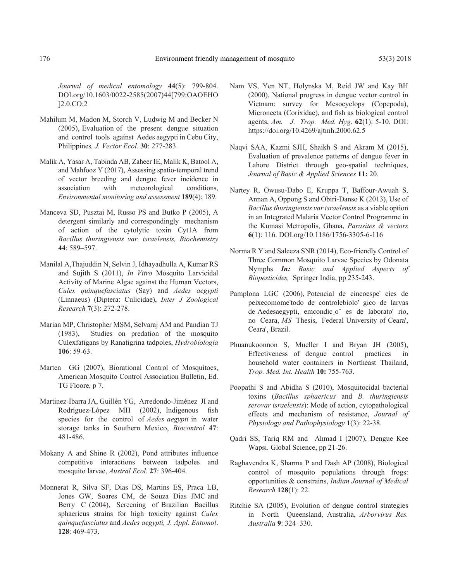*Journal of medical entomology* **44**(5): 799-804. DOI.org/10.1603/0022-2585(2007)44[799:OAOEHO ]2.0.CO;2

- Mahilum M, Madon M, Storch V, Ludwig M and Becker N (2005), Evaluation of the present dengue situation and control tools against Aedes aegypti in Cebu City, Philippines*, J. Vector Ecol.* **30**: 277-283.
- Malik A, Yasar A, Tabinda AB, Zaheer IE, Malik K, Batool A, and Mahfooz Y (2017), Assessing spatio-temporal trend of vector breeding and dengue fever incidence in association with meteorological conditions, *Environmental monitoring and assessment* **189**(4): 189.
- Manceva SD, Pusztai M, Russo PS and Butko P (2005), A detergent similarly and correspondingly mechanism of action of the cytolytic toxin Cyt1A from *Bacillus thuringiensis var. israelensis, Biochemistry* **44**: 589–597.
- Manilal A,Thajuddin N, Selvin J, Idhayadhulla A, Kumar RS and Sujith S (2011), *In Vitro* Mosquito Larvicidal Activity of Marine Algae against the Human Vectors, *Culex quinquefasciatus* (Say) and *Aedes aegypti* (Linnaeus) (Diptera: Culicidae), *Inter J Zoological Research* **7**(3): 272-278.
- Marian MP, Christopher MSM, Selvaraj AM and Pandian TJ (1983), Studies on predation of the mosquito Culexfatigans by Ranatigrina tadpoles, *Hydrobiologia* **106**: 59-63.
- Marten GG (2007), Biorational Control of Mosquitoes, American Mosquito Control Association Bulletin, Ed. TG Floore, p 7.
- Martinez-Ibarra JA, Guillén YG, Arredondo-Jiménez JI and Rodríguez-López MH (2002), Indigenous fish species for the control of *Aedes aegypti* in water storage tanks in Southern Mexico, *Biocontrol* **47**: 481-486.
- Mokany A and Shine R (2002), Pond attributes influence competitive interactions between tadpoles and mosquito larvae, *Austral Ecol*. **27**: 396-404.
- Monnerat R, Silva SF, Dias DS, Martins ES, Praca LB, Jones GW, Soares CM, de Souza Dias JMC and Berry C (2004), Screening of Brazilian Bacillus sphaericus strains for high toxicity against *Culex quinquefasciatus* and *Aedes aegypti, J. Appl. Entomol*. **128**: 469-473.
- Nam VS, Yen NT, Holynska M, Reid JW and Kay BH (2000), National progress in dengue vector control in Vietnam: survey for Mesocyclops (Copepoda), Micronecta (Corixidae), and fish as biological control agents, *Am. J. Trop. Med. Hyg*. **62**(1): 5-10. DOI: https://doi.org/10.4269/ajtmh.2000.62.5
- Naqvi SAA, Kazmi SJH, Shaikh S and Akram M (2015), Evaluation of prevalence patterns of dengue fever in Lahore District through geo-spatial techniques, *Journal of Basic & Applied Sciences* **11:** 20.
- Nartey R, Owusu-Dabo E, Kruppa T, Baffour-Awuah S, Annan A, Oppong S and Obiri-Danso K (2013), Use of *Bacillus thuringiensis var israelensis* as a viable option in an Integrated Malaria Vector Control Programme in the Kumasi Metropolis, Ghana, *Parasites & vectors* **6**(1): 116. DOI.org/10.1186/1756-3305-6-116
- Norma R Y and Saleeza SNR (2014), Eco-friendly Control of Three Common Mosquito Larvae Species by Odonata Nymphs *In: Basic and Applied Aspects of Biopesticides,* Springer India, pp 235-243.
- Pamplona LGC (2006), Potencial de cincoespe' cies de peixecomome'todo de controlebiolo' gico de larvas de Aedesaegypti, emcondic¸o˜ es de laborato' rio, no Ceara, *MS* Thesis, Federal University of Ceara', Ceara', Brazil.
- Phuanukoonnon S, Mueller I and Bryan JH (2005), Effectiveness of dengue control practices in household water containers in Northeast Thailand, *Trop. Med. Int. Health* **10:** 755-763.
- Poopathi S and Abidha S (2010), Mosquitocidal bacterial toxins (*Bacillus sphaericus* and *B. thuringiensis serovar israelensis*): Mode of action, cytopathological effects and mechanism of resistance, *Journal of Physiology and Pathophysiology* **1**(3): 22-38.
- Qadri SS, Tariq RM and Ahmad I (2007), Dengue Kee Wapsi. Global Science, pp 21-26.
- Raghavendra K, Sharma P and Dash AP (2008), Biological control of mosquito populations through frogs: opportunities & constrains, *Indian Journal of Medical Research* **128**(1): 22.
- Ritchie SA (2005), Evolution of dengue control strategies in North Queensland, Australia, *Arborvirus Res. Australia* **9**: 324–330.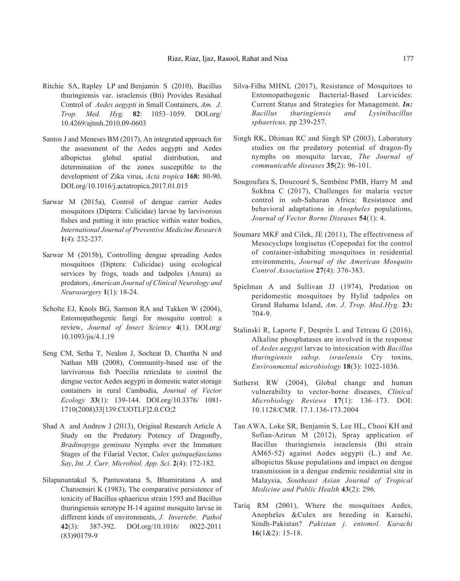- Ritchie SA, Rapley LP and Benjamin S (2010), Bacillus thuringiensis var. israelensis (Bti) Provides Residual Control of *Aedes aegypti* in Small Containers, *Am. J. Trop. Med. Hyg.* **82**: 1053–1059. DOI.org/ 10.4269/ajtmh.2010.09-0603
- Santos J and Meneses BM (2017), An integrated approach for the assessment of the Aedes aegypti and Aedes albopictus global spatial distribution, and determination of the zones susceptible to the development of Zika virus, *Acta tropica* **168:** 80-90. DOI.org/10.1016/j.actatropica.2017.01.015
- Sarwar M (2015a), Control of dengue carrier Aedes mosquitoes (Diptera: Culicidae) larvae by larvivorous fishes and putting it into practice within water bodies, *International Journal of Preventive Medicine Research* **1**(4): 232-237.
- Sarwar M (2015b), Controlling dengue spreading Aedes mosquitoes (Diptera: Culicidae) using ecological services by frogs, toads and tadpoles (Anura) as predators, *American Journal of Clinical Neurology and Neurosurgery* **1**(1): 18-24.
- Scholte EJ, Knols BG, Samson RA and Takken W (2004), Entomopathogenic fungi for mosquito control: a review, *Journal of Insect Science* **4**(1). DOI.org/ 10.1093/jis/4.1.19
- Seng CM, Setha T, Nealon J, Socheat D, Chantha N and Nathan MB (2008), Community-based use of the larvivorous fish Poecilia reticulata to control the dengue vector Aedes aegypti in domestic water storage containers in rural Cambodia, *Journal of Vector Ecology* **33**(1): 139-144. DOI.org/10.3376/ 1081- 1710(2008)33[139:CUOTLF]2.0.CO;2
- Shad A and Andrew J (2013), Original Research Article A Study on the Predatory Potency of Dragonfly, *Bradinopyga geminata* Nymphs over the Immature Stages of the Filarial Vector, *Culex quinquefasciatus Say*, *Int. J. Curr. Microbiol. App. Sci*. **2**(4): 172-182.
- Silapanuntakul S, Pantuwatana S, Bhumiratana A and Charoensiri K (1983), The comparative persistence of toxicity of Bacillus sphaericus strain 1593 and Bacillus thuringiensis serotype H-14 against mosquito larvae in different kinds of environments, *J. Invertebr. Pathol* **42**(3): 387-392. DOI.org/10.1016/ 0022-2011 (83)90179-9
- Silva-Filha MHNL (2017), Resistance of Mosquitoes to Entomopathogenic Bacterial-Based Larvicides: Current Status and Strategies for Management. *In: Bacillus thuringiensis and Lysinibacillus sphaericus,* pp 239-257.
- Singh RK, Dhiman RC and Singh SP (2003), Laboratory studies on the predatory potential of dragon-fly nymphs on mosquito larvae, *The Journal of communicable diseases* **35**(2): 96-101.
- Sougoufara S, Doucouré S, Sembéne PMB, Harry M and Sokhna C (2017), Challenges for malaria vector control in sub-Saharan Africa: Resistance and behavioral adaptations in *Anopheles* populations, *Journal of Vector Borne Diseases* **54**(1): 4.
- Soumare MKF and Cilek, JE (2011), The effectiveness of Mesocyclops longisetus (Copepoda) for the control of container-inhabiting mosquitoes in residential environments, *Journal of the American Mosquito Control Association* **27**(4): 376-383.
- Spielman A and Sullivan JJ (1974), Predation on peridomestic mosquitoes by Hylid tadpoles on Grand Bahama Island, *Am. J. Trop. Med.Hyg.* **23:** 704-9.
- Stalinski R, Laporte F, Després L and Tetreau G (2016), Alkaline phosphatases are involved in the response of *Aedes aegypti* larvae to intoxication with *Bacillus thuringiensis subsp. israelensis* Cry toxins, *Environmental microbiology* **18**(3): 1022-1036.
- Sutherst RW (2004), Global change and human vulnerability to vector-borne diseases, *Clinical Microbiology Reviews* **17**(1): 136–173. DOI: 10.1128/CMR. 17.1.136-173.2004
- Tan AWA, Loke SR, Benjamin S, Lee HL, Chooi KH and Sofian-Azirun M (2012), Spray application of Bacillus thuringiensis israelensis (Bti strain AM65-52) against Aedes aegypti (L.) and Ae. albopictus Skuse populations and impact on dengue transmission in a dengue endemic residential site in Malaysia, *Southeast Asian Journal of Tropical Medicine and Public Health* **43**(2): 296.
- Tariq RM (2001), Where the mosquitoes Aedes, Anopheles &Culex are breeding in Karachi, Sindh-Pakistan? *Pakistan j. entomol. Karachi* **16**(1&2): 15-18.